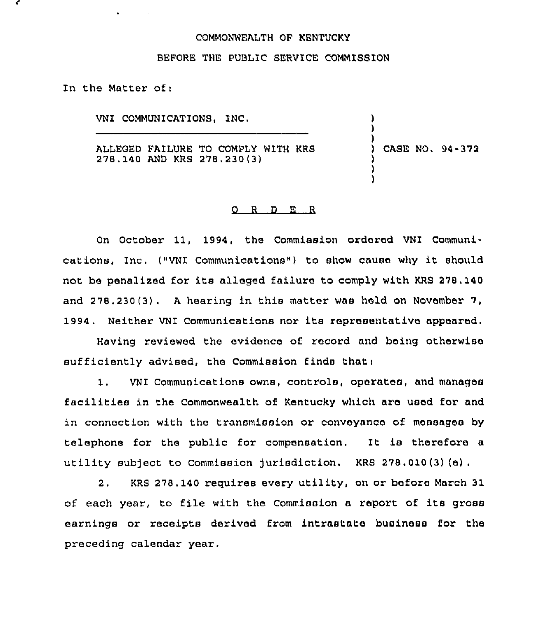## CQMMONNEALTH QF KENTUCKY

## BEFORE THE PUBLIC SERVICE COMMISSION

In the Matter of:

 $\bullet$  .

**Contractor** 

VNI COMMUNICATIONS, INC.

ALLEGED FAILURE TO COMPLY WITH KRS 278.140 AND KRS 278,230(3)

) CASE NQ, 94-372

) ) )

> ) ) )

## O R D E R

On October 11, 1994, the Commission ordered VNI Communications, Inc. ("VNI Communications") to show cause why it should not be penalized for its alleged failure to comply with KRS 278,140 and 278.230(3). <sup>A</sup> hearing in this matter was held on November 7, 1994. Neither VNI Communications nor its representative appeared.

Having reviewed the evidence of record and being otherwise sufficiently advised, the Commission finds that <sup>i</sup>

1. VNI communications owns, controls, operates, and manages facilities in the Commonwealth of Kentucky which are used for and in connection with the transmission or conveyance of messages by telephone for the public for compensation. It is therefore a utility subject to Commission jurisdiction. KRS 278,010(3)(e).

2, KRS 278. 140 requires every utility, on or bofors March 31 of each year, to file with the Commission a report of its gross earnings or receipts derived from intrastate business for the preceding calendar year.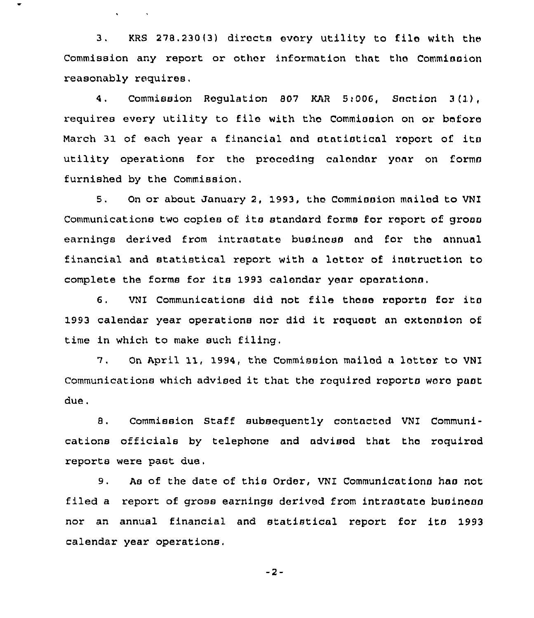3. KRS 278, 230 (3) directs every utility to file with the Commission any report or other information that tha Commission reasonably requires,

 $\mathcal{L}^{\text{max}}$  and  $\mathcal{L}^{\text{max}}$ 

4. Commission Regulation 807 KAR 5:006, Section 3(1), requires every utility to file with the Commission on or before March 31 of each year a financial and statistical report of its utility operations for the preceding calendar year on forms furnished by the Commission,

5. On or about January 2, 1993, the Commission mailed to VNI Communications two copies of its standard forms for report of gross earnings derived from intrastate business and for the annual financial and statistical report with a letter of instruction to complete the forms for its 1993 calendar yonr opoxntionn.

6, VNI Communications did not file thoso xaports for ito 1993 calendar year operations nor did it roquest an extension of time in which to make such filing.

7. On April 11, 1994, the Commission mailed a letter to VNI Communications which advised it that the roquirod reports wore pant due.

8. Commission Staff subsequently contacted VNI Communications officials by telephone and ndvisod that tho required reports were past due.

9. As of the date of this Order, VNI Communications has not filed a report of gross earnings derived from intrastate business nor an annual financial and statistical report for ito 1993 calendar year operations.

 $-2-$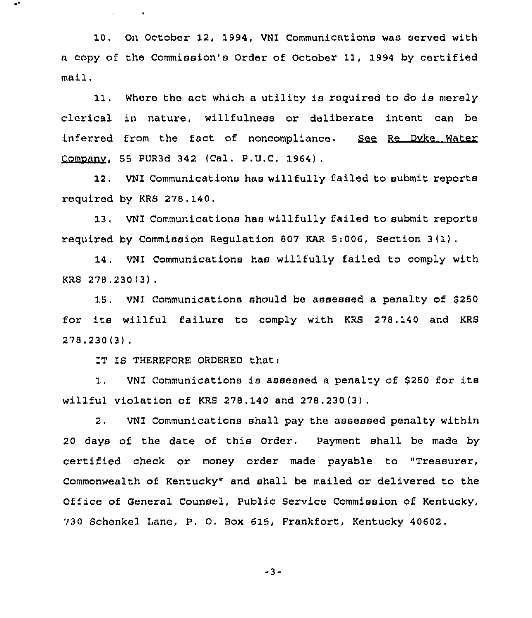10, On October 12, 1994, VNI Communications was served with a copy of the Commission's Order of October 11, 1994 by certified mail.

11. Where the act which <sup>a</sup> utility is required to do is merely clerical in nature, willfulness or deliberate intent can be inferred from the fact of noncompliance. See Re Dyke Water Companv, 55 PUR3d 342 (Cal. P.U,C. 1964) .

12, VNI Communications has willfully failed to submit reports required by KRS 278.140.

13, VNI Communications has willfully failed to submit reports required by Commission Regulation 807 KAR 5:006, Section <sup>3</sup> (1),

14. VNI Communications has willfully failed to comply with KRS 278,230(3) .

15. VNI Communications should be assessed a penalty of 8250 for its willful failure to comply with KRS 278.140 and KRS 278,230 (3) .

IT IS THEREFORE ORDERED that:

 $\mathbf{v} = \mathbf{v} \times \mathbf{v}$  .  $\mathbf{v} = \mathbf{v}$ 

1. VNI Communications is assessed <sup>a</sup> penalty of <sup>8250</sup> for its willful violation of KRS 278.140 and 278.230(3) .

2. VNI Communications shall pay the assessed penalty within 20 days of the date of this Order. Payment shall be made by certified check or money order made payable to "Treasurer, Commonwealth of Kentucky" and shall be mailed or delivered to the Office of General Counsel, Public Service Commission of Kentucky, 730 Schenkel Lane, P. O. Box 615, Frankfort, Kentucky 40602.

-3-